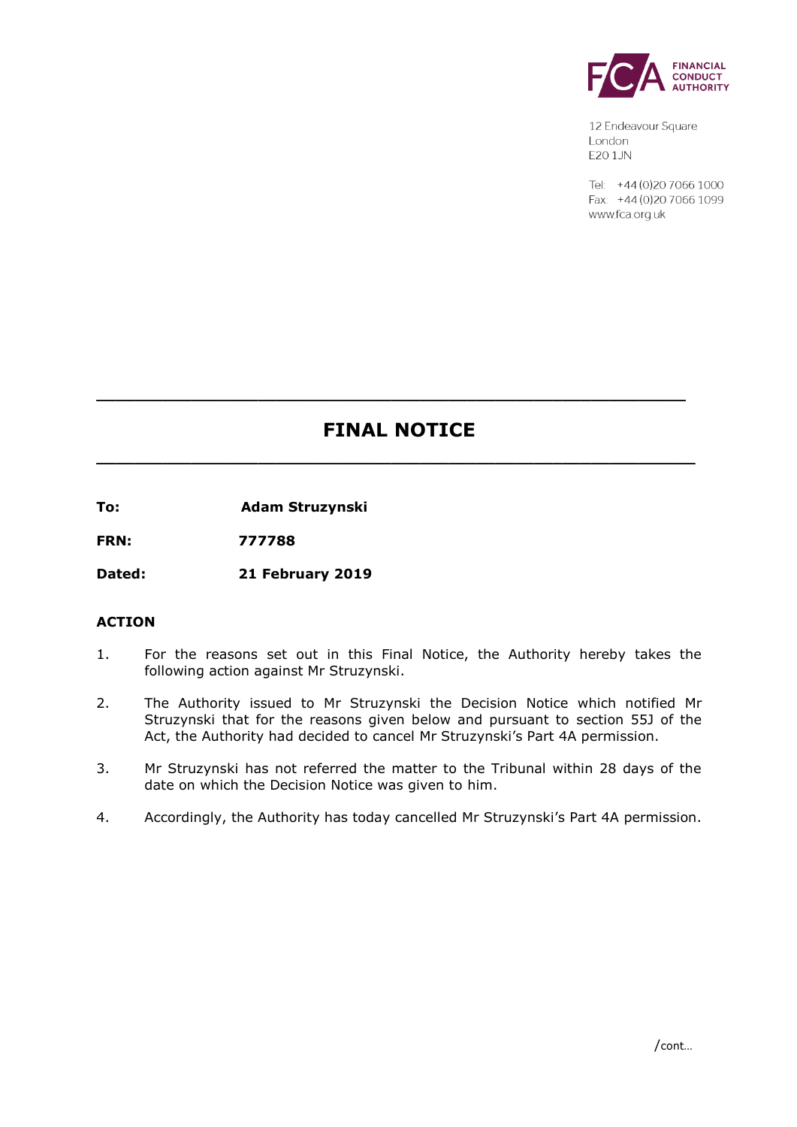

12 Endeavour Square London E201JN

Tel: +44 (0) 20 7066 1000 Fax: +44 (0) 20 7066 1099 www.fca.org.uk

# **FINAL NOTICE**

**\_\_\_\_\_\_\_\_\_\_\_\_\_\_\_\_\_\_\_\_\_\_\_\_\_\_\_\_\_\_\_\_\_\_\_\_\_\_\_\_\_\_\_\_\_\_\_\_\_\_\_\_\_\_\_\_\_\_\_\_\_\_\_**

**\_\_\_\_\_\_\_\_\_\_\_\_\_\_\_\_\_\_\_\_\_\_\_\_\_\_\_\_\_\_\_\_\_\_\_\_\_\_\_\_\_\_\_\_\_\_\_\_\_\_\_\_\_\_\_\_\_\_\_\_\_\_**

**To: Adam Struzynski**

**FRN: 777788**

**Dated: 21 February 2019**

## **ACTION**

- 1. For the reasons set out in this Final Notice, the Authority hereby takes the following action against Mr Struzynski.
- 2. The Authority issued to Mr Struzynski the Decision Notice which notified Mr Struzynski that for the reasons given below and pursuant to section 55J of the Act, the Authority had decided to cancel Mr Struzynski's Part 4A permission.
- 3. Mr Struzynski has not referred the matter to the Tribunal within 28 days of the date on which the Decision Notice was given to him.
- 4. Accordingly, the Authority has today cancelled Mr Struzynski's Part 4A permission.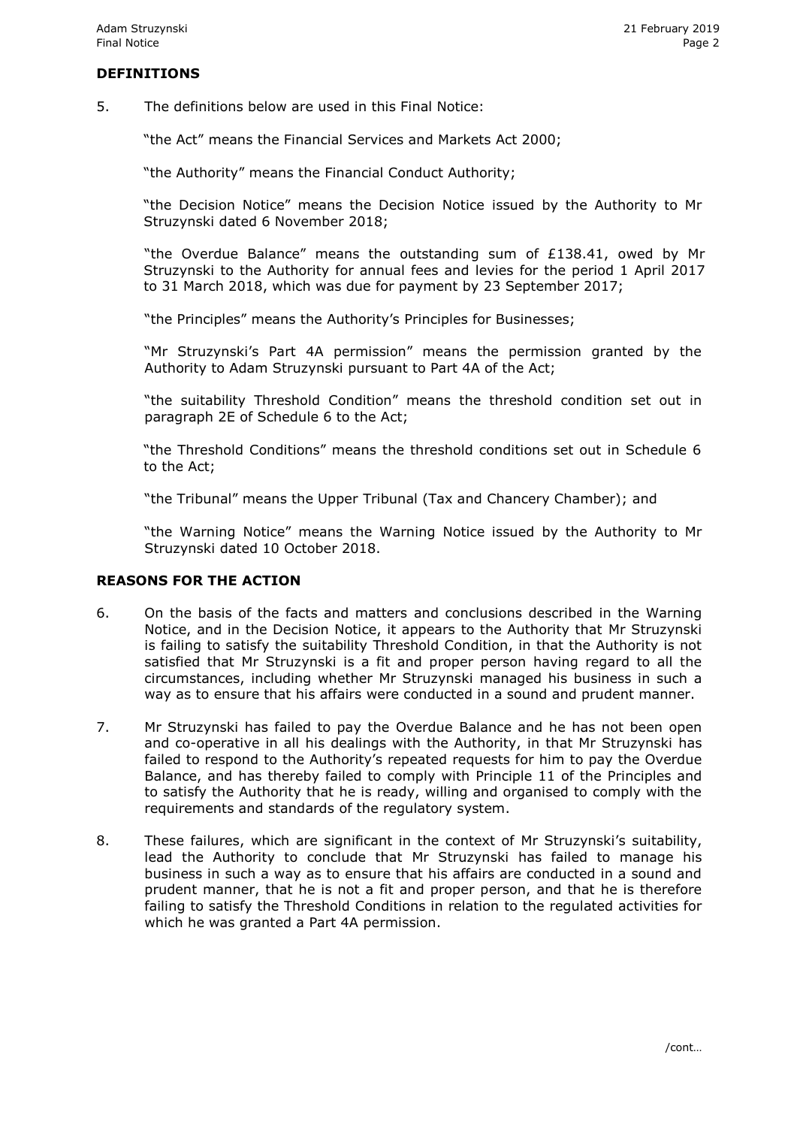## **DEFINITIONS**

5. The definitions below are used in this Final Notice:

"the Act" means the Financial Services and Markets Act 2000;

"the Authority" means the Financial Conduct Authority;

"the Decision Notice" means the Decision Notice issued by the Authority to Mr Struzynski dated 6 November 2018;

"the Overdue Balance" means the outstanding sum of £138.41, owed by Mr Struzynski to the Authority for annual fees and levies for the period 1 April 2017 to 31 March 2018, which was due for payment by 23 September 2017;

"the Principles" means the Authority's Principles for Businesses;

"Mr Struzynski's Part 4A permission" means the permission granted by the Authority to Adam Struzynski pursuant to Part 4A of the Act;

"the suitability Threshold Condition" means the threshold condition set out in paragraph 2E of Schedule 6 to the Act;

"the Threshold Conditions" means the threshold conditions set out in Schedule 6 to the Act;

"the Tribunal" means the Upper Tribunal (Tax and Chancery Chamber); and

"the Warning Notice" means the Warning Notice issued by the Authority to Mr Struzynski dated 10 October 2018.

# **REASONS FOR THE ACTION**

- 6. On the basis of the facts and matters and conclusions described in the Warning Notice, and in the Decision Notice, it appears to the Authority that Mr Struzynski is failing to satisfy the suitability Threshold Condition, in that the Authority is not satisfied that Mr Struzynski is a fit and proper person having regard to all the circumstances, including whether Mr Struzynski managed his business in such a way as to ensure that his affairs were conducted in a sound and prudent manner.
- 7. Mr Struzynski has failed to pay the Overdue Balance and he has not been open and co-operative in all his dealings with the Authority, in that Mr Struzynski has failed to respond to the Authority's repeated requests for him to pay the Overdue Balance, and has thereby failed to comply with Principle 11 of the Principles and to satisfy the Authority that he is ready, willing and organised to comply with the requirements and standards of the regulatory system.
- 8. These failures, which are significant in the context of Mr Struzynski's suitability, lead the Authority to conclude that Mr Struzynski has failed to manage his business in such a way as to ensure that his affairs are conducted in a sound and prudent manner, that he is not a fit and proper person, and that he is therefore failing to satisfy the Threshold Conditions in relation to the regulated activities for which he was granted a Part 4A permission.